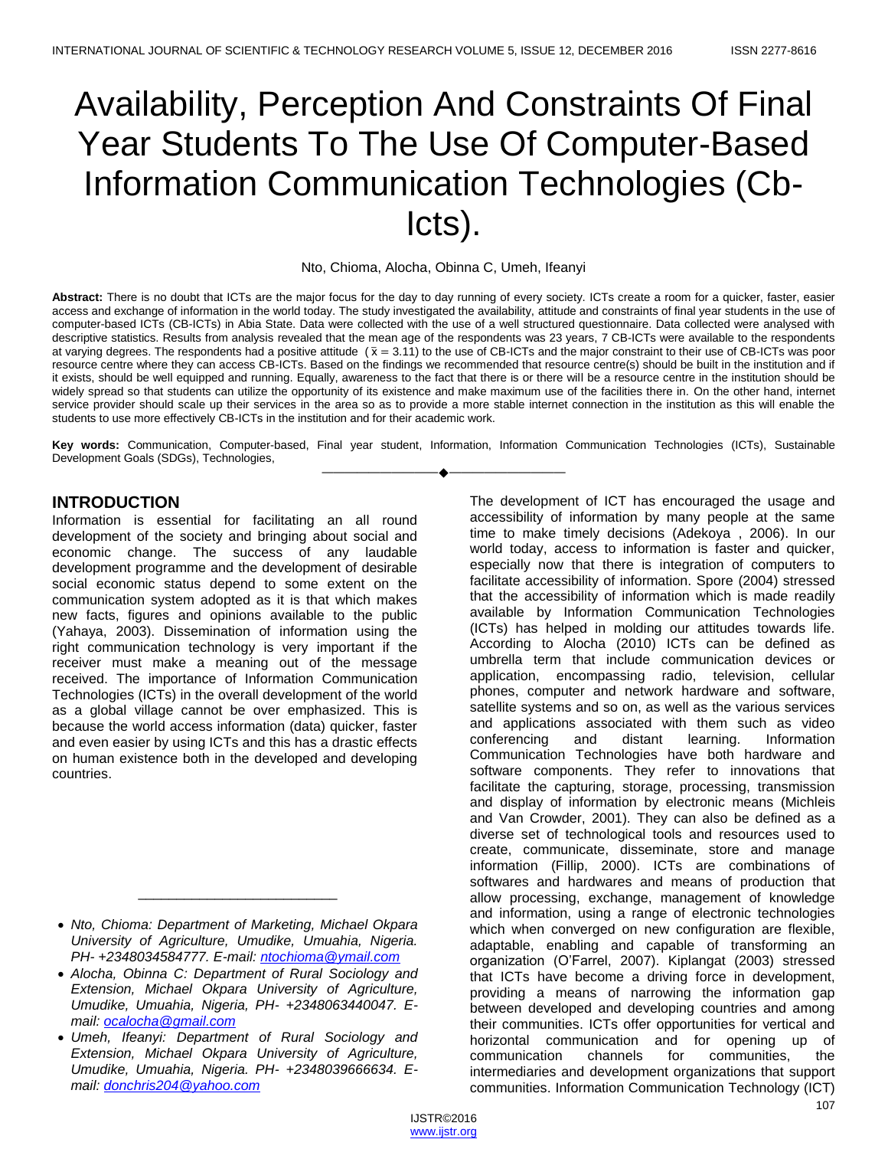# Availability, Perception And Constraints Of Final Year Students To The Use Of Computer-Based Information Communication Technologies (Cb-Icts).

Nto, Chioma, Alocha, Obinna C, Umeh, Ifeanyi

**Abstract:** There is no doubt that ICTs are the major focus for the day to day running of every society. ICTs create a room for a quicker, faster, easier access and exchange of information in the world today. The study investigated the availability, attitude and constraints of final year students in the use of computer-based ICTs (CB-ICTs) in Abia State. Data were collected with the use of a well structured questionnaire. Data collected were analysed with descriptive statistics. Results from analysis revealed that the mean age of the respondents was 23 years, 7 CB-ICTs were available to the respondents at varying degrees. The respondents had a positive attitude  $(\bar{x} = 3.11)$  to the use of CB-ICTs and the major constraint to their use of CB-ICTs was poor resource centre where they can access CB-ICTs. Based on the findings we recommended that resource centre(s) should be built in the institution and if it exists, should be well equipped and running. Equally, awareness to the fact that there is or there will be a resource centre in the institution should be widely spread so that students can utilize the opportunity of its existence and make maximum use of the facilities there in. On the other hand, internet service provider should scale up their services in the area so as to provide a more stable internet connection in the institution as this will enable the students to use more effectively CB-ICTs in the institution and for their academic work.

**Key words:** Communication, Computer-based, Final year student, Information, Information Communication Technologies (ICTs), Sustainable Development Goals (SDGs), Technologies, ————————————————————

## **INTRODUCTION**

Information is essential for facilitating an all round development of the society and bringing about social and economic change. The success of any laudable development programme and the development of desirable social economic status depend to some extent on the communication system adopted as it is that which makes new facts, figures and opinions available to the public (Yahaya, 2003). Dissemination of information using the right communication technology is very important if the receiver must make a meaning out of the message received. The importance of Information Communication Technologies (ICTs) in the overall development of the world as a global village cannot be over emphasized. This is because the world access information (data) quicker, faster and even easier by using ICTs and this has a drastic effects on human existence both in the developed and developing countries.

\_\_\_\_\_\_\_\_\_\_\_\_\_\_\_\_\_\_\_\_\_\_\_\_\_\_

 *Alocha, Obinna C: Department of Rural Sociology and Extension, Michael Okpara University of Agriculture, Umudike, Umuahia, Nigeria, PH- +2348063440047. Email: [ocalocha@gmail.com](mailto:ocalocha@gmail.com)*

 *Umeh, Ifeanyi: Department of Rural Sociology and Extension, Michael Okpara University of Agriculture, Umudike, Umuahia, Nigeria. PH- +2348039666634. Email: [donchris204@yahoo.com](mailto:donchris204@yahoo.com)*

The development of ICT has encouraged the usage and accessibility of information by many people at the same time to make timely decisions (Adekoya , 2006). In our world today, access to information is faster and quicker, especially now that there is integration of computers to facilitate accessibility of information. Spore (2004) stressed that the accessibility of information which is made readily available by Information Communication Technologies (ICTs) has helped in molding our attitudes towards life. According to Alocha (2010) ICTs can be defined as umbrella term that include communication devices or application, encompassing radio, television, cellular phones, computer and network hardware and software, satellite systems and so on, as well as the various services and applications associated with them such as video conferencing and distant learning. Information Communication Technologies have both hardware and software components. They refer to innovations that facilitate the capturing, storage, processing, transmission and display of information by electronic means (Michleis and Van Crowder, 2001). They can also be defined as a diverse set of technological tools and resources used to create, communicate, disseminate, store and manage information (Fillip, 2000). ICTs are combinations of softwares and hardwares and means of production that allow processing, exchange, management of knowledge and information, using a range of electronic technologies which when converged on new configuration are flexible, adaptable, enabling and capable of transforming an organization (O'Farrel, 2007). Kiplangat (2003) stressed that ICTs have become a driving force in development, providing a means of narrowing the information gap between developed and developing countries and among their communities. ICTs offer opportunities for vertical and horizontal communication and for opening up of communication channels for communities, the intermediaries and development organizations that support communities. Information Communication Technology (ICT)

*Nto, Chioma: Department of Marketing, Michael Okpara University of Agriculture, Umudike, Umuahia, Nigeria. PH- +2348034584777. E-mail: [ntochioma@ymail.com](mailto:ntochioma@ymail.com)*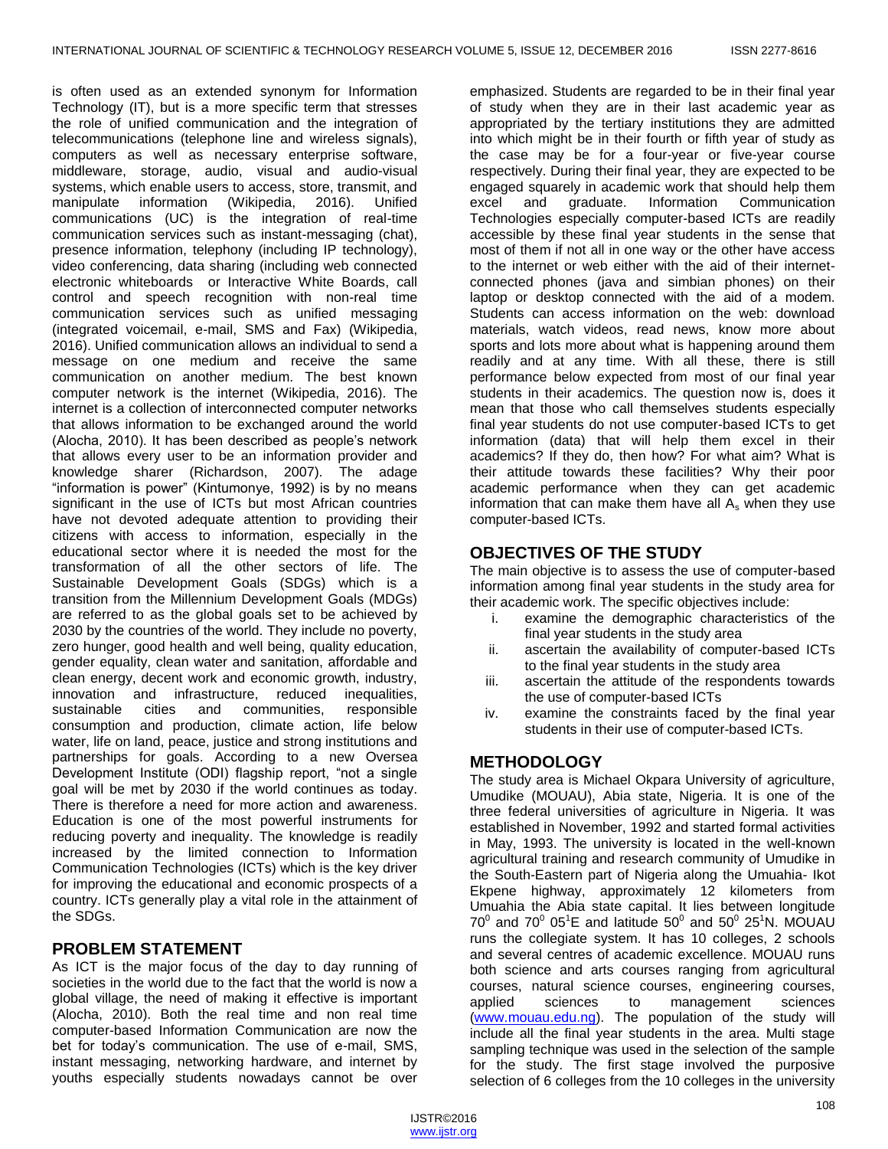is often used as an extended synonym for Information Technology (IT), but is a more specific term that stresses the role of unified communication and the integration of telecommunications (telephone line and wireless signals), computers as well as necessary enterprise software, middleware, storage, audio, visual and audio-visual systems, which enable users to access, store, transmit, and manipulate information (Wikipedia, 2016). Unified communications (UC) is the integration of real-time communication services such as instant-messaging (chat), presence information, telephony (including IP technology), video conferencing, data sharing (including web connected electronic whiteboards or Interactive White Boards, call control and speech recognition with non-real time communication services such as unified messaging (integrated voicemail, e-mail, SMS and Fax) (Wikipedia, 2016). Unified communication allows an individual to send a message on one medium and receive the same communication on another medium. The best known computer network is the internet (Wikipedia, 2016). The internet is a collection of interconnected computer networks that allows information to be exchanged around the world (Alocha, 2010). It has been described as people's network that allows every user to be an information provider and knowledge sharer (Richardson, 2007). The adage "information is power" (Kintumonye, 1992) is by no means significant in the use of ICTs but most African countries have not devoted adequate attention to providing their citizens with access to information, especially in the educational sector where it is needed the most for the transformation of all the other sectors of life. The Sustainable Development Goals (SDGs) which is a transition from the Millennium Development Goals (MDGs) are referred to as the global goals set to be achieved by 2030 by the countries of the world. They include no poverty, zero hunger, good health and well being, quality education, gender equality, clean water and sanitation, affordable and clean energy, decent work and economic growth, industry, innovation and infrastructure, reduced inequalities, sustainable cities and communities, responsible consumption and production, climate action, life below water, life on land, peace, justice and strong institutions and partnerships for goals. According to a new Oversea Development Institute (ODI) flagship report, "not a single goal will be met by 2030 if the world continues as today. There is therefore a need for more action and awareness. Education is one of the most powerful instruments for reducing poverty and inequality. The knowledge is readily increased by the limited connection to Information Communication Technologies (ICTs) which is the key driver for improving the educational and economic prospects of a country. ICTs generally play a vital role in the attainment of the SDGs.

## **PROBLEM STATEMENT**

As ICT is the major focus of the day to day running of societies in the world due to the fact that the world is now a global village, the need of making it effective is important (Alocha, 2010). Both the real time and non real time computer-based Information Communication are now the bet for today's communication. The use of e-mail, SMS, instant messaging, networking hardware, and internet by youths especially students nowadays cannot be over

emphasized. Students are regarded to be in their final year of study when they are in their last academic year as appropriated by the tertiary institutions they are admitted into which might be in their fourth or fifth year of study as the case may be for a four-year or five-year course respectively. During their final year, they are expected to be engaged squarely in academic work that should help them excel and graduate. Information Communication Technologies especially computer-based ICTs are readily accessible by these final year students in the sense that most of them if not all in one way or the other have access to the internet or web either with the aid of their internetconnected phones (java and simbian phones) on their laptop or desktop connected with the aid of a modem. Students can access information on the web: download materials, watch videos, read news, know more about sports and lots more about what is happening around them readily and at any time. With all these, there is still performance below expected from most of our final year students in their academics. The question now is, does it mean that those who call themselves students especially final year students do not use computer-based ICTs to get information (data) that will help them excel in their academics? If they do, then how? For what aim? What is their attitude towards these facilities? Why their poor academic performance when they can get academic information that can make them have all  $A_s$  when they use computer-based ICTs.

# **OBJECTIVES OF THE STUDY**

The main objective is to assess the use of computer-based information among final year students in the study area for their academic work. The specific objectives include:

- i. examine the demographic characteristics of the final year students in the study area
- ii. ascertain the availability of computer-based ICTs to the final year students in the study area
- iii. ascertain the attitude of the respondents towards the use of computer-based ICTs
- iv. examine the constraints faced by the final year students in their use of computer-based ICTs.

# **METHODOLOGY**

The study area is Michael Okpara University of agriculture, Umudike (MOUAU), Abia state, Nigeria. It is one of the three federal universities of agriculture in Nigeria. It was established in November, 1992 and started formal activities in May, 1993. The university is located in the well-known agricultural training and research community of Umudike in the South-Eastern part of Nigeria along the Umuahia- Ikot Ekpene highway, approximately 12 kilometers from Umuahia the Abia state capital. It lies between longitude  $70^0$  and  $70^0$  05<sup>1</sup>E and latitude 50<sup>0</sup> and 50<sup>0</sup> 25<sup>1</sup>N. MOUAU runs the collegiate system. It has 10 colleges, 2 schools and several centres of academic excellence. MOUAU runs both science and arts courses ranging from agricultural courses, natural science courses, engineering courses, applied sciences to management sciences [\(www.mouau.edu.ng\)](http://www.mouau.edu.ng/). The population of the study will include all the final year students in the area. Multi stage sampling technique was used in the selection of the sample for the study. The first stage involved the purposive selection of 6 colleges from the 10 colleges in the university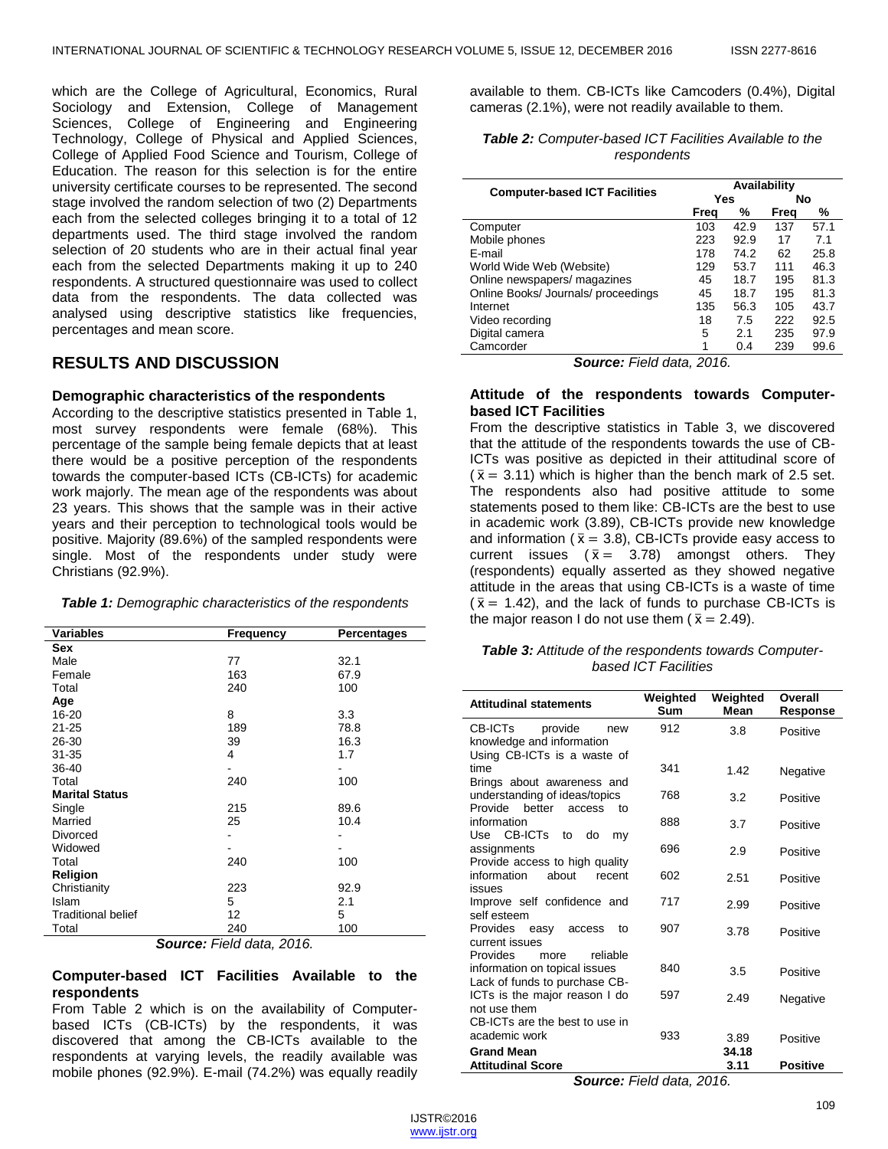which are the College of Agricultural, Economics, Rural Sociology and Extension, College of Management Sciences, College of Engineering and Engineering Technology, College of Physical and Applied Sciences, College of Applied Food Science and Tourism, College of Education. The reason for this selection is for the entire university certificate courses to be represented. The second stage involved the random selection of two (2) Departments each from the selected colleges bringing it to a total of 12 departments used. The third stage involved the random selection of 20 students who are in their actual final year each from the selected Departments making it up to 240 respondents. A structured questionnaire was used to collect data from the respondents. The data collected was analysed using descriptive statistics like frequencies, percentages and mean score.

## **RESULTS AND DISCUSSION**

#### **Demographic characteristics of the respondents**

According to the descriptive statistics presented in Table 1, most survey respondents were female (68%). This percentage of the sample being female depicts that at least there would be a positive perception of the respondents towards the computer-based ICTs (CB-ICTs) for academic work majorly. The mean age of the respondents was about 23 years. This shows that the sample was in their active years and their perception to technological tools would be positive. Majority (89.6%) of the sampled respondents were single. Most of the respondents under study were Christians (92.9%).

| Table 1: Demographic characteristics of the respondents |  |  |  |
|---------------------------------------------------------|--|--|--|
|---------------------------------------------------------|--|--|--|

| <b>Variables</b>          | Frequency                | Percentages |
|---------------------------|--------------------------|-------------|
| <b>Sex</b>                |                          |             |
| Male                      | 77                       | 32.1        |
| Female                    | 163                      | 67.9        |
| Total                     | 240                      | 100         |
| Age                       |                          |             |
| $16 - 20$                 | 8                        | 3.3         |
| $21 - 25$                 | 189                      | 78.8        |
| 26-30                     | 39                       | 16.3        |
| 31-35                     | 4                        | 1.7         |
| 36-40                     | -                        |             |
| Total                     | 240                      | 100         |
| <b>Marital Status</b>     |                          |             |
| Single                    | 215                      | 89.6        |
| Married                   | 25                       | 10.4        |
| Divorced                  |                          |             |
| Widowed                   |                          |             |
| Total                     | 240                      | 100         |
| Religion                  |                          |             |
| Christianity              | 223                      | 92.9        |
| Islam                     | 5                        | 2.1         |
| <b>Traditional belief</b> | 12                       | 5           |
| Total                     | 240<br>∽<br>— <i>.</i> . | 100         |

*Source: Field data, 2016.*

#### **Computer-based ICT Facilities Available to the respondents**

From Table 2 which is on the availability of Computerbased ICTs (CB-ICTs) by the respondents, it was discovered that among the CB-ICTs available to the respondents at varying levels, the readily available was mobile phones (92.9%). E-mail (74.2%) was equally readily

available to them. CB-ICTs like Camcoders (0.4%), Digital cameras (2.1%), were not readily available to them.

*Table 2: Computer-based ICT Facilities Available to the respondents*

|                                      | Availability     |      |      |      |
|--------------------------------------|------------------|------|------|------|
| <b>Computer-based ICT Facilities</b> | <b>Yes</b><br>No |      |      |      |
|                                      | Freq             | %    | Frea | %    |
| Computer                             | 103              | 42.9 | 137  | 57.1 |
| Mobile phones                        | 223              | 92.9 | 17   | 7.1  |
| E-mail                               | 178              | 74.2 | 62   | 25.8 |
| World Wide Web (Website)             | 129              | 53.7 | 111  | 46.3 |
| Online newspapers/ magazines         | 45               | 18.7 | 195  | 81.3 |
| Online Books/ Journals/ proceedings  | 45               | 18.7 | 195  | 81.3 |
| Internet                             | 135              | 56.3 | 105  | 43.7 |
| Video recording                      | 18               | 7.5  | 222  | 92.5 |
| Digital camera                       | 5                | 2.1  | 235  | 97.9 |
| Camcorder                            |                  | 0.4  | 239  | 99.6 |
| <b>Source:</b> Field data, 2016.     |                  |      |      |      |

## **Attitude of the respondents towards Computerbased ICT Facilities**

From the descriptive statistics in Table 3, we discovered that the attitude of the respondents towards the use of CB-ICTs was positive as depicted in their attitudinal score of  $(\bar{x} = 3.11)$  which is higher than the bench mark of 2.5 set. The respondents also had positive attitude to some statements posed to them like: CB-ICTs are the best to use in academic work (3.89), CB-ICTs provide new knowledge and information ( $\bar{x}$  = 3.8), CB-ICTs provide easy access to current issues ( $\bar{x} = 3.78$ ) amongst others. They (respondents) equally asserted as they showed negative attitude in the areas that using CB-ICTs is a waste of time  $(\bar{x} = 1.42)$ , and the lack of funds to purchase CB-ICTs is the major reason I do not use them ( $\bar{x} = 2.49$ ).

#### *Table 3: Attitude of the respondents towards Computerbased ICT Facilities*

| <b>Attitudinal statements</b>                                  | Weighted<br>Sum | Weighted<br>Mean | Overall<br>Response |
|----------------------------------------------------------------|-----------------|------------------|---------------------|
| CB-ICTs<br>provide<br>new<br>knowledge and information         | 912             | 3.8              | Positive            |
| Using CB-ICTs is a waste of                                    |                 |                  |                     |
| time                                                           | 341             | 1.42             | Negative            |
| Brings about awareness and<br>understanding of ideas/topics    | 768             | 3.2              | Positive            |
| Provide better<br>access<br>to                                 |                 |                  |                     |
| information<br>CB-ICT <sub>s</sub><br>Use<br>to<br>do<br>my    | 888             | 3.7              | Positive            |
| assignments                                                    | 696             | 2.9              | Positive            |
| Provide access to high quality                                 |                 |                  |                     |
| information<br>about<br>recent<br>issues                       | 602             | 2.51             | Positive            |
| Improve self confidence and                                    | 717             | 2.99             | Positive            |
| self esteem                                                    |                 |                  |                     |
| Provides easy<br>access<br>to<br>current issues                | 907             | 3.78             | Positive            |
| <b>Provides</b><br>reliable<br>more                            |                 |                  |                     |
| information on topical issues                                  | 840             | 3.5              | Positive            |
| Lack of funds to purchase CB-<br>ICTs is the major reason I do | 597             |                  |                     |
| not use them                                                   |                 | 2.49             | Negative            |
| CB-ICTs are the best to use in                                 |                 |                  |                     |
| academic work                                                  | 933             | 3.89             | Positive            |
| <b>Grand Mean</b>                                              |                 | 34.18            |                     |
| <b>Attitudinal Score</b>                                       |                 | 3.11             | <b>Positive</b>     |

*Source: Field data, 2016.*